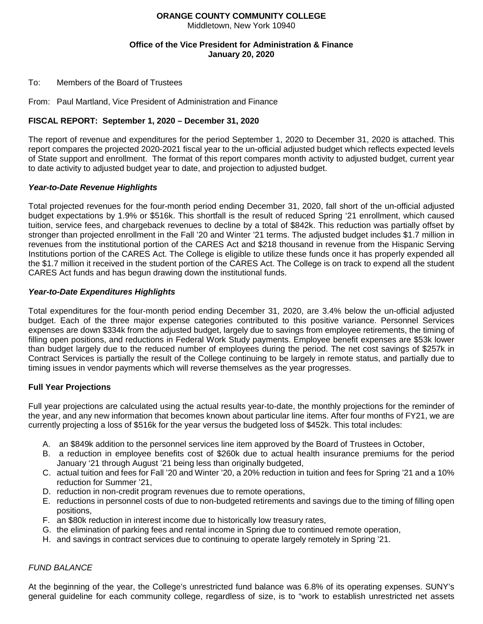# **ORANGE COUNTY COMMUNITY COLLEGE**

Middletown, New York 10940

### **Office of the Vice President for Administration & Finance January 20, 2020**

To: Members of the Board of Trustees

From: Paul Martland, Vice President of Administration and Finance

## **FISCAL REPORT: September 1, 2020 – December 31, 2020**

The report of revenue and expenditures for the period September 1, 2020 to December 31, 2020 is attached. This report compares the projected 2020-2021 fiscal year to the un-official adjusted budget which reflects expected levels of State support and enrollment. The format of this report compares month activity to adjusted budget, current year to date activity to adjusted budget year to date, and projection to adjusted budget.

#### *Year-to-Date Revenue Highlights*

Total projected revenues for the four-month period ending December 31, 2020, fall short of the un-official adjusted budget expectations by 1.9% or \$516k. This shortfall is the result of reduced Spring '21 enrollment, which caused tuition, service fees, and chargeback revenues to decline by a total of \$842k. This reduction was partially offset by stronger than projected enrollment in the Fall '20 and Winter '21 terms. The adjusted budget includes \$1.7 million in revenues from the institutional portion of the CARES Act and \$218 thousand in revenue from the Hispanic Serving Institutions portion of the CARES Act. The College is eligible to utilize these funds once it has properly expended all the \$1.7 million it received in the student portion of the CARES Act. The College is on track to expend all the student CARES Act funds and has begun drawing down the institutional funds.

#### *Year-to-Date Expenditures Highlights*

Total expenditures for the four-month period ending December 31, 2020, are 3.4% below the un-official adjusted budget. Each of the three major expense categories contributed to this positive variance. Personnel Services expenses are down \$334k from the adjusted budget, largely due to savings from employee retirements, the timing of filling open positions, and reductions in Federal Work Study payments. Employee benefit expenses are \$53k lower than budget largely due to the reduced number of employees during the period. The net cost savings of \$257k in Contract Services is partially the result of the College continuing to be largely in remote status, and partially due to timing issues in vendor payments which will reverse themselves as the year progresses.

## **Full Year Projections**

Full year projections are calculated using the actual results year-to-date, the monthly projections for the reminder of the year, and any new information that becomes known about particular line items. After four months of FY21, we are currently projecting a loss of \$516k for the year versus the budgeted loss of \$452k. This total includes:

- A. an \$849k addition to the personnel services line item approved by the Board of Trustees in October,
- B. a reduction in employee benefits cost of \$260k due to actual health insurance premiums for the period January '21 through August '21 being less than originally budgeted,
- C. actual tuition and fees for Fall '20 and Winter '20, a 20% reduction in tuition and fees for Spring '21 and a 10% reduction for Summer '21,
- D. reduction in non-credit program revenues due to remote operations,
- E. reductions in personnel costs of due to non-budgeted retirements and savings due to the timing of filling open positions,
- F. an \$80k reduction in interest income due to historically low treasury rates,
- G. the elimination of parking fees and rental income in Spring due to continued remote operation,
- H. and savings in contract services due to continuing to operate largely remotely in Spring '21.

## *FUND BALANCE*

At the beginning of the year, the College's unrestricted fund balance was 6.8% of its operating expenses. SUNY's general guideline for each community college, regardless of size, is to "work to establish unrestricted net assets